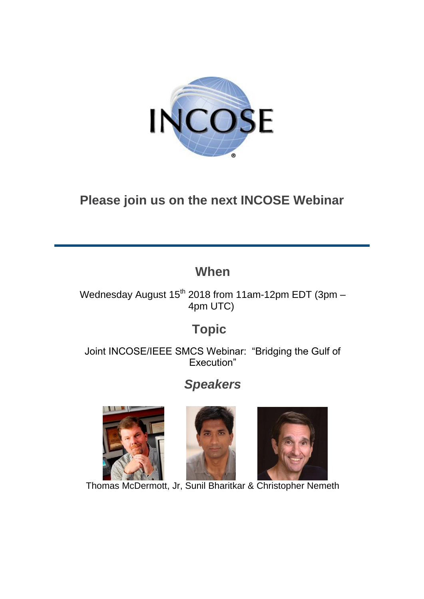

# **Please join us on the next INCOSE Webinar**

## **When**

Wednesday August  $15^{th}$  2018 from 11am-12pm EDT (3pm – 4pm UTC)

# **Topic**

Joint INCOSE/IEEE SMCS Webinar: "Bridging the Gulf of Execution"

# *Speakers*







Thomas McDermott, Jr, Sunil Bharitkar & Christopher Nemeth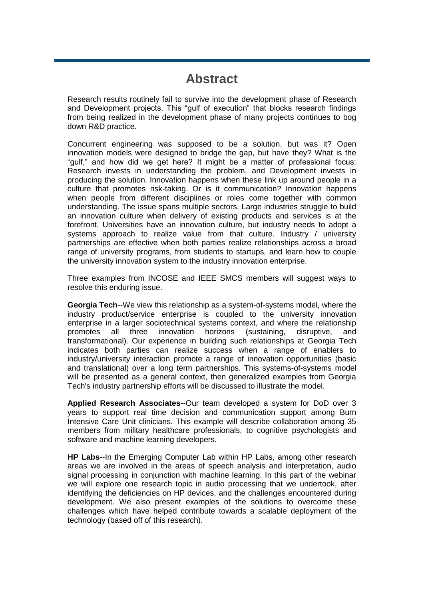#### **Abstract**

Research results routinely fail to survive into the development phase of Research and Development projects. This "gulf of execution" that blocks research findings from being realized in the development phase of many projects continues to bog down R&D practice.

Concurrent engineering was supposed to be a solution, but was it? Open innovation models were designed to bridge the gap, but have they? What is the "gulf," and how did we get here? It might be a matter of professional focus: Research invests in understanding the problem, and Development invests in producing the solution. Innovation happens when these link up around people in a culture that promotes risk-taking. Or is it communication? Innovation happens when people from different disciplines or roles come together with common understanding. The issue spans multiple sectors. Large industries struggle to build an innovation culture when delivery of existing products and services is at the forefront. Universities have an innovation culture, but industry needs to adopt a systems approach to realize value from that culture. Industry / university partnerships are effective when both parties realize relationships across a broad range of university programs, from students to startups, and learn how to couple the university innovation system to the industry innovation enterprise.

Three examples from INCOSE and IEEE SMCS members will suggest ways to resolve this enduring issue.

**Georgia Tech**--We view this relationship as a system-of-systems model, where the industry product/service enterprise is coupled to the university innovation enterprise in a larger sociotechnical systems context, and where the relationship promotes all three innovation horizons (sustaining, disruptive, and transformational). Our experience in building such relationships at Georgia Tech indicates both parties can realize success when a range of enablers to industry/university interaction promote a range of innovation opportunities (basic and translational) over a long term partnerships. This systems-of-systems model will be presented as a general context, then generalized examples from Georgia Tech's industry partnership efforts will be discussed to illustrate the model.

**Applied Research Associates**--Our team developed a system for DoD over 3 years to support real time decision and communication support among Burn Intensive Care Unit clinicians. This example will describe collaboration among 35 members from military healthcare professionals, to cognitive psychologists and software and machine learning developers.

**HP Labs**--In the Emerging Computer Lab within HP Labs, among other research areas we are involved in the areas of speech analysis and interpretation, audio signal processing in conjunction with machine learning. In this part of the webinar we will explore one research topic in audio processing that we undertook, after identifying the deficiencies on HP devices, and the challenges encountered during development. We also present examples of the solutions to overcome these challenges which have helped contribute towards a scalable deployment of the technology (based off of this research).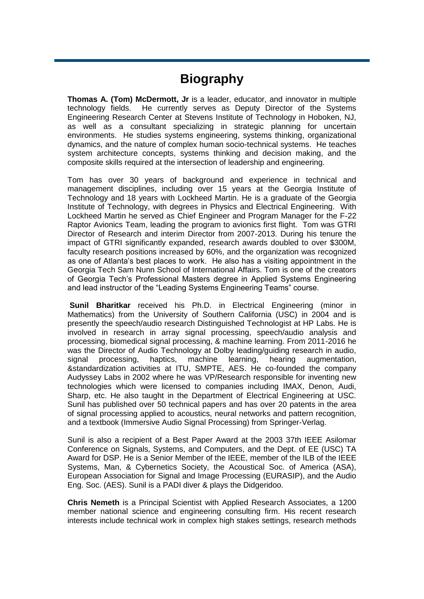## **Biography**

**Thomas A. (Tom) McDermott, Jr** is a leader, educator, and innovator in multiple technology fields. He currently serves as Deputy Director of the Systems Engineering Research Center at Stevens Institute of Technology in Hoboken, NJ, as well as a consultant specializing in strategic planning for uncertain environments. He studies systems engineering, systems thinking, organizational dynamics, and the nature of complex human socio-technical systems. He teaches system architecture concepts, systems thinking and decision making, and the composite skills required at the intersection of leadership and engineering.

Tom has over 30 years of background and experience in technical and management disciplines, including over 15 years at the Georgia Institute of Technology and 18 years with Lockheed Martin. He is a graduate of the Georgia Institute of Technology, with degrees in Physics and Electrical Engineering. With Lockheed Martin he served as Chief Engineer and Program Manager for the F-22 Raptor Avionics Team, leading the program to avionics first flight. Tom was GTRI Director of Research and interim Director from 2007-2013. During his tenure the impact of GTRI significantly expanded, research awards doubled to over \$300M, faculty research positions increased by 60%, and the organization was recognized as one of Atlanta's best places to work. He also has a visiting appointment in the Georgia Tech Sam Nunn School of International Affairs. Tom is one of the creators of Georgia Tech's Professional Masters degree in Applied Systems Engineering and lead instructor of the "Leading Systems Engineering Teams" course.

**Sunil Bharitkar** received his Ph.D. in Electrical Engineering (minor in Mathematics) from the University of Southern California (USC) in 2004 and is presently the speech/audio research Distinguished Technologist at HP Labs. He is involved in research in array signal processing, speech/audio analysis and processing, biomedical signal processing, & machine learning. From 2011-2016 he was the Director of Audio Technology at Dolby leading/guiding research in audio, signal processing, haptics, machine learning, hearing augmentation, &standardization activities at ITU, SMPTE, AES. He co-founded the company Audyssey Labs in 2002 where he was VP/Research responsible for inventing new technologies which were licensed to companies including IMAX, Denon, Audi, Sharp, etc. He also taught in the Department of Electrical Engineering at USC. Sunil has published over 50 technical papers and has over 20 patents in the area of signal processing applied to acoustics, neural networks and pattern recognition, and a textbook (Immersive Audio Signal Processing) from Springer-Verlag.

Sunil is also a recipient of a Best Paper Award at the 2003 37th IEEE Asilomar Conference on Signals, Systems, and Computers, and the Dept. of EE (USC) TA Award for DSP. He is a Senior Member of the IEEE, member of the ILB of the IEEE Systems, Man, & Cybernetics Society, the Acoustical Soc. of America (ASA), European Association for Signal and Image Processing (EURASIP), and the Audio Eng. Soc. (AES). Sunil is a PADI diver & plays the Didgeridoo.

**Chris Nemeth** is a Principal Scientist with Applied Research Associates, a 1200 member national science and engineering consulting firm. His recent research interests include technical work in complex high stakes settings, research methods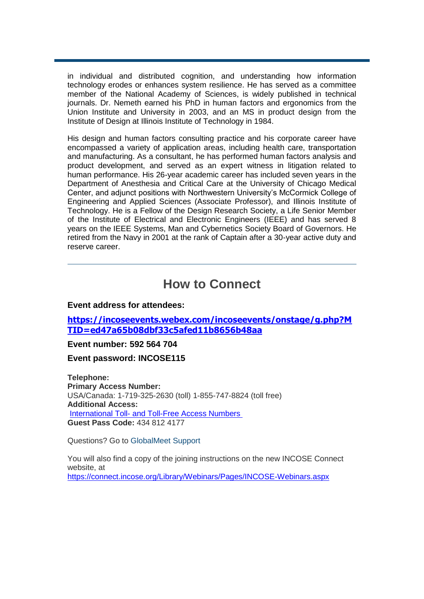in individual and distributed cognition, and understanding how information technology erodes or enhances system resilience. He has served as a committee member of the National Academy of Sciences, is widely published in technical journals. Dr. Nemeth earned his PhD in human factors and ergonomics from the Union Institute and University in 2003, and an MS in product design from the Institute of Design at Illinois Institute of Technology in 1984.

His design and human factors consulting practice and his corporate career have encompassed a variety of application areas, including health care, transportation and manufacturing. As a consultant, he has performed human factors analysis and product development, and served as an expert witness in litigation related to human performance. His 26-year academic career has included seven years in the Department of Anesthesia and Critical Care at the University of Chicago Medical Center, and adjunct positions with Northwestern University's McCormick College of Engineering and Applied Sciences (Associate Professor), and Illinois Institute of Technology. He is a Fellow of the Design Research Society, a Life Senior Member of the Institute of Electrical and Electronic Engineers (IEEE) and has served 8 years on the IEEE Systems, Man and Cybernetics Society Board of Governors. He retired from the Navy in 2001 at the rank of Captain after a 30-year active duty and reserve career.

#### **How to Connect**

**Event address for attendees:**

**[https://incoseevents.webex.com/incoseevents/onstage/g.php?M](https://incoseevents.webex.com/incoseevents/onstage/g.php?MTID=ed47a65b08dbf33c5afed11b8656b48aa) [TID=ed47a65b08dbf33c5afed11b8656b48aa](https://incoseevents.webex.com/incoseevents/onstage/g.php?MTID=ed47a65b08dbf33c5afed11b8656b48aa)**

**Event number: 592 564 704**

**Event password: INCOSE115**

**Telephone: Primary Access Number:** USA/Canada: 1-719-325-2630 (toll) 1-855-747-8824 (toll free) **Additional Access:** International Toll- [and Toll-Free Access Numbers](https://www.myrcplus.com/cnums.asp?bwebid=8369444&ppc=4348124177&num=18557478824&num2=17193252630) **Guest Pass Code:** 434 812 4177

Questions? Go to [GlobalMeet Support](http://r20.rs6.net/tn.jsp?e=001P3VUa9xFp0BTbEiW9NrLw-5Ah5d2dJWMNjQO6Y7cKRWYI1pcLWWGH-kfzAeNIZ9IM1qn-bPCVyqePnv800weNjNsWV_DgDLYMCmdclQlqVhhs-HpuyG9pA==)

You will also find a copy of the joining instructions on the new INCOSE Connect website, at <https://connect.incose.org/Library/Webinars/Pages/INCOSE-Webinars.aspx>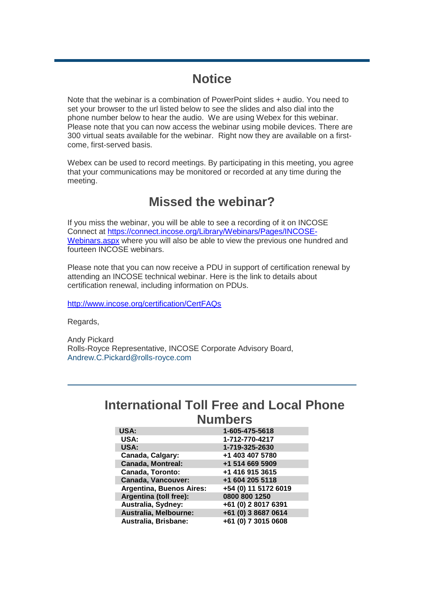## **Notice**

Note that the webinar is a combination of PowerPoint slides + audio. You need to set your browser to the url listed below to see the slides and also dial into the phone number below to hear the audio. We are using Webex for this webinar. Please note that you can now access the webinar using mobile devices. There are 300 virtual seats available for the webinar. Right now they are available on a firstcome, first-served basis.

Webex can be used to record meetings. By participating in this meeting, you agree that your communications may be monitored or recorded at any time during the meeting.

## **Missed the webinar?**

If you miss the webinar, you will be able to see a recording of it on INCOSE Connect at [https://connect.incose.org/Library/Webinars/Pages/INCOSE-](https://connect.incose.org/Library/Webinars/Pages/INCOSE-Webinars.aspx)[Webinars.aspx](https://connect.incose.org/Library/Webinars/Pages/INCOSE-Webinars.aspx) where you will also be able to view the previous one hundred and fourteen INCOSE webinars.

Please note that you can now receive a PDU in support of certification renewal by attending an INCOSE technical webinar. Here is the link to details about certification renewal, including information on PDUs.

<http://www.incose.org/certification/CertFAQs>

Regards,

Andy Pickard Rolls-Royce Representative, INCOSE Corporate Advisory Board, [Andrew.C.Pickard@rolls-royce.com](mailto:Andrew.C.Pickard@rolls-royce.com)

#### **International Toll Free and Local Phone Numbers**

| <b>USA:</b>                     | 1-605-475-5618       |
|---------------------------------|----------------------|
| USA:                            | 1-712-770-4217       |
| USA:                            | 1-719-325-2630       |
| Canada, Calgary:                | +1 403 407 5780      |
| <b>Canada, Montreal:</b>        | +1 514 669 5909      |
| <b>Canada, Toronto:</b>         | +1 416 915 3615      |
| <b>Canada, Vancouver:</b>       | +1 604 205 5118      |
| <b>Argentina, Buenos Aires:</b> | +54 (0) 11 5172 6019 |
| Argentina (toll free):          | 0800 800 1250        |
| Australia, Sydney:              | +61 (0) 2 8017 6391  |
| Australia, Melbourne:           | +61 (0) 3 8687 0614  |
| Australia, Brisbane:            | +61 (0) 7 3015 0608  |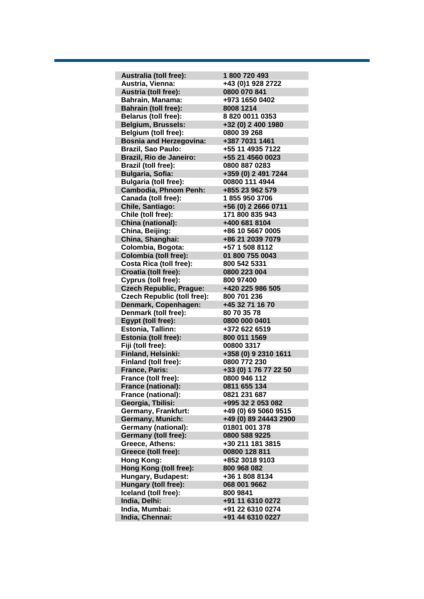**Australia (toll free): 1 800 720 493 Austria, Vienna: +43 (0)1 928 2722 Austria (toll free): 0800 070 841 Bahrain, Manama: +973 1650 0402 Bahrain (toll free): 8008 1214 Belarus (toll free): 8 820 0011 0353**  $Belgium, Brussels:$  **Belgium (toll free): 0800 39 268 Bosnia and Herzegovina: +387 7031 1461 Brazil, Sao Paulo: +55 11 4935 7122 Brazil, Rio de Janeiro: +55 21 4560 0023 Brazil (toll free): 0800 887 0283 Bulgaria, Sofia: +359 (0) 2 491 7244 Bulgaria (toll free): 00800 111 4944 Cambodia, Phnom Penh: +855 23 962 579 Canada (toll free): 1 855 950 3706 Chile, Santiago: +56 (0) 2 2666 0711 Chile (toll free): 171 800 835 943 China (national): +400 681 8104 China, Beijing: +86 10 5667 0005 China, Shanghai: +86 21 2039 7079 Colombia, Bogota: +57 1 508 8112 Colombia (toll free): 01 800 755 0043 Costa Rica (toll free): 800 542 5331 Croatia (toll free): 0800 223 004 Cyprus (toll free): 800 97400 Czech Republic, Prague: +420 225 986 505 Czech Republic (toll free): 800 701 236 Denmark, Copenhagen: +45 32 71 16 70 Denmark (toll free): 80 70 35 78 Egypt (toll free): 0800 000 0401 Estonia, Tallinn: +372 622 6519 Estonia (toll free): 800 011 1569 Fiji (toll free): 00800 3317 Finland, Helsinki: +358 (0) 9 2310 1611 Finland (toll free): 0800 772 230 France, Paris: +33 (0) 1 76 77 22 50 France (toll free): 0800 946 112 France (national): France (national): 0821 231 687 Georgia, Tbilisi: +995 32 2 053 082 Germany, Frankfurt: +49 (0) 69 5060 9515 Germany, Munich: +49 (0) 89 24443 2900 Germany (national): 01801 001 378 Germany (toll free): 0800 588 9225 Greece, Athens: +30 211 181 3815 Greece (toll free): 00800 128 811 Hong Kong: +852 3018 9103 Hong Kong (toll free): 800 968 082 Hungary, Budapest: +36 1 808 8134 Hungary (toll free): 068 001 9662 Iceland (toll free): 800 9841 India, Delhi: +91 11 6310 0272 India, Mumbai: +91 22 6310 0274 India, Chennai: +91 44 6310 0227**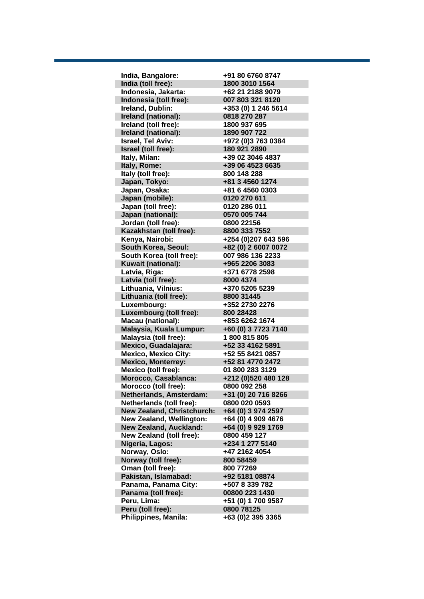| India, Bangalore:               | +91 80 6760 8747    |
|---------------------------------|---------------------|
| India (toll free):              | 1800 3010 1564      |
| Indonesia, Jakarta:             | +62 21 2188 9079    |
| Indonesia (toll free):          | 007 803 321 8120    |
| Ireland, Dublin:                | +353 (0) 1 246 5614 |
| Ireland (national):             | 0818 270 287        |
| Ireland (toll free):            | 1800 937 695        |
| Ireland (national):             | 1890 907 722        |
| <b>Israel, Tel Aviv:</b>        | +972 (0)3 763 0384  |
| Israel (toll free):             | 180 921 2890        |
| Italy, Milan:                   | +39 02 3046 4837    |
| Italy, Rome:                    | +39 06 4523 6635    |
| Italy (toll free):              | 800 148 288         |
| Japan, Tokyo:                   | +81 3 4560 1274     |
| Japan, Osaka:                   | +81 6 4560 0303     |
| Japan (mobile):                 | 0120 270 611        |
| Japan (toll free):              | 0120 286 011        |
| Japan (national):               | 0570 005 744        |
|                                 | 0800 22156          |
| Jordan (toll free):             | 8800 333 7552       |
| Kazakhstan (toll free):         |                     |
| Kenya, Nairobi:                 | +254 (0)207 643 596 |
| South Korea, Seoul:             | +82 (0) 2 6007 0072 |
| South Korea (toll free):        | 007 986 136 2233    |
| Kuwait (national):              | +965 2206 3083      |
| Latvia, Riga:                   | +371 6778 2598      |
| Latvia (toll free):             | 8000 4374           |
| Lithuania, Vilnius:             | +370 5205 5239      |
| Lithuania (toll free):          | 8800 31445          |
| Luxembourg:                     | +352 2730 2276      |
| Luxembourg (toll free):         | 800 28428           |
| <b>Macau (national):</b>        | +853 6262 1674      |
| Malaysia, Kuala Lumpur:         | +60 (0) 3 7723 7140 |
| <b>Malaysia (toll free):</b>    | 1800815805          |
| Mexico, Guadalajara:            | +52 33 4162 5891    |
| <b>Mexico, Mexico City:</b>     | +52 55 8421 0857    |
| <b>Mexico, Monterrey:</b>       | +52 81 4770 2472    |
| Mexico (toll free):             | 01 800 283 3129     |
| Morocco, Casablanca:            | +212 (0)520 480 128 |
| Morocco (toll free):            | 0800 092 258        |
| Netherlands, Amsterdam:         | +31 (0) 20 716 8266 |
| Netherlands (toll free):        | 0800 020 0593       |
| New Zealand, Christchurch:      | +64 (0) 3 974 2597  |
| <b>New Zealand, Wellington:</b> | +64 (0) 4 909 4676  |
| <b>New Zealand, Auckland:</b>   | +64 (0) 9 929 1769  |
| New Zealand (toll free):        | 0800 459 127        |
| Nigeria, Lagos:                 | +234 1 277 5140     |
| Norway, Oslo:                   | +47 2162 4054       |
| Norway (toll free):             | 800 58459           |
| Oman (toll free):               | 800 77269           |
| Pakistan, Islamabad:            | +92 5181 08874      |
| Panama, Panama City:            | +507 8 339 782      |
| Panama (toll free):             | 00800 223 1430      |
| Peru, Lima:                     | +51 (0) 1 700 9587  |
| Peru (toll free):               | 0800 78125          |
| Philippines, Manila:            | +63 (0)2 395 3365   |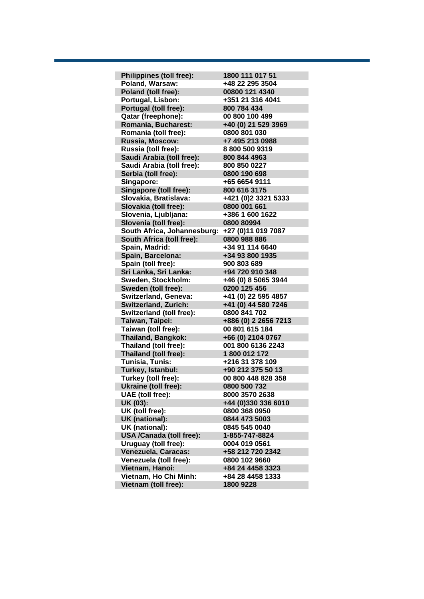| <b>Philippines (toll free):</b> | 1800 111 017 51      |
|---------------------------------|----------------------|
| Poland, Warsaw:                 | +48 22 295 3504      |
| Poland (toll free):             | 00800 121 4340       |
| Portugal, Lisbon:               | +351 21 316 4041     |
| Portugal (toll free):           | 800 784 434          |
| Qatar (freephone):              | 00 800 100 499       |
| Romania, Bucharest:             | +40 (0) 21 529 3969  |
| Romania (toll free):            | 0800 801 030         |
| Russia, Moscow:                 | +7 495 213 0988      |
| Russia (toll free):             | 88005009319          |
| Saudi Arabia (toll free):       | 800 844 4963         |
| Saudi Arabia (toll free):       | 800 850 0227         |
| Serbia (toll free):             | 0800 190 698         |
| Singapore:                      | +65 6654 9111        |
| Singapore (toll free):          | 800 616 3175         |
| Slovakia, Bratislava:           | +421 (0)2 3321 5333  |
| Slovakia (toll free):           | 0800 001 661         |
| Slovenia, Ljubljana:            | +386 1 600 1622      |
| Slovenia (toll free):           | 0800 80994           |
| South Africa, Johannesburg:     | +27 (0)11 019 7087   |
| South Africa (toll free):       | 0800 988 886         |
| Spain, Madrid:                  | +34 91 114 6640      |
| Spain, Barcelona:               | +34 93 800 1935      |
| Spain (toll free):              | 900 803 689          |
| Sri Lanka, Sri Lanka:           | +94 720 910 348      |
| Sweden, Stockholm:              | +46 (0) 8 5065 3944  |
| Sweden (toll free):             | 0200 125 456         |
| Switzerland, Geneva:            | +41 (0) 22 595 4857  |
| Switzerland, Zurich:            | +41 (0) 44 580 7246  |
| Switzerland (toll free):        | 0800 841 702         |
| Taiwan, Taipei:                 | +886 (0) 2 2656 7213 |
| Taiwan (toll free):             | 00 801 615 184       |
| <b>Thailand, Bangkok:</b>       | +66 (0) 2104 0767    |
| Thailand (toll free):           | 001 800 6136 2243    |
| Thailand (toll free):           | 1800 012 172         |
| Tunisia, Tunis:                 | +216 31 378 109      |
| Turkey, Istanbul:               | +90 212 375 50 13    |
| Turkey (toll free):             | 00 800 448 828 358   |
| Ukraine (toll free):            | 0800 500 732         |
| UAE (toll free):                | 8000 3570 2638       |
| UK (03):                        | +44 (0)330 336 6010  |
| UK (toll free):                 | 0800 368 0950        |
| <b>UK (national):</b>           | 0844 473 5003        |
| UK (national):                  | 0845 545 0040        |
| <b>USA /Canada (toll free):</b> | 1-855-747-8824       |
| Uruguay (toll free):            | 0004 019 0561        |
| Venezuela, Caracas:             | +58 212 720 2342     |
| Venezuela (toll free):          | 0800 102 9660        |
| Vietnam, Hanoi:                 | +84 24 4458 3323     |
| Vietnam, Ho Chi Minh:           | +84 28 4458 1333     |
| Vietnam (toll free):            | 1800 9228            |
|                                 |                      |